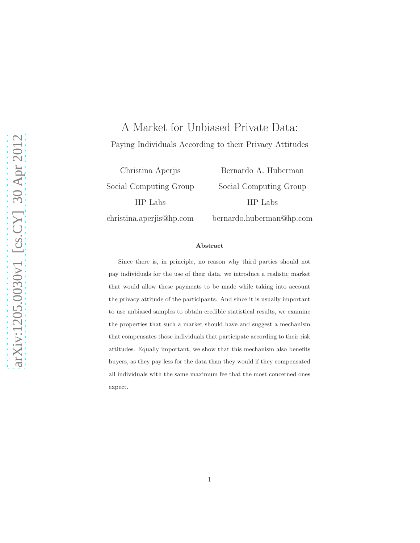# A Market for Unbiased Private Data: Paying Individuals According to their Privacy Attitudes

Christina Aperjis Social Computing Group HP Labs christina.aperjis@hp.com

Bernardo A. Huberman Social Computing Group HP Labs bernardo.huberman@hp.com

#### Abstract

Since there is, in principle, no reason why third parties should not pay individuals for the use of their data, we introduce a realistic market that would allow these payments to be made while taking into account the privacy attitude of the participants. And since it is usually important to use unbiased samples to obtain credible statistical results, we examine the properties that such a market should have and suggest a mechanism that compensates those individuals that participate according to their risk attitudes. Equally important, we show that this mechanism also benefits buyers, as they pay less for the data than they would if they compensated all individuals with the same maximum fee that the most concerned ones expect.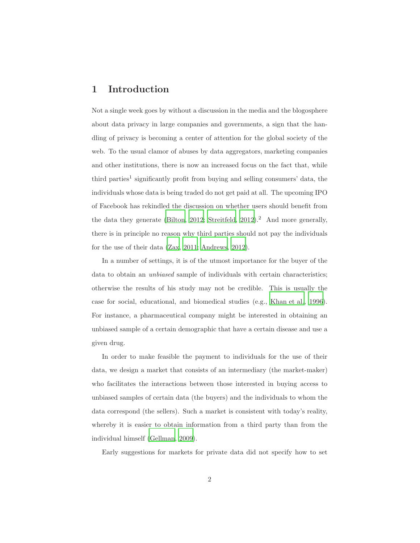### 1 Introduction

Not a single week goes by without a discussion in the media and the blogosphere about data privacy in large companies and governments, a sign that the handling of privacy is becoming a center of attention for the global society of the web. To the usual clamor of abuses by data aggregators, marketing companies and other institutions, there is now an increased focus on the fact that, while third parties<sup>1</sup> significantly profit from buying and selling consumers' data, the individuals whose data is being traded do not get paid at all. The upcoming IPO of Facebook has rekindled the discussion on whether users should benefit from the data they generate [\(Bilton, 2012;](#page-15-0) [Streitfeld, 2012\)](#page-16-0).<sup>2</sup> And more generally, there is in principle no reason why third parties should not pay the individuals for the use of their data [\(Zax](#page-16-1), [2011;](#page-16-1) [Andrews, 2012\)](#page-15-1).

In a number of settings, it is of the utmost importance for the buyer of the data to obtain an unbiased sample of individuals with certain characteristics; otherwise the results of his study may not be credible. This is usually the case for social, educational, and biomedical studies (e.g., [Khan et al., 1996\)](#page-16-2). For instance, a pharmaceutical company might be interested in obtaining an unbiased sample of a certain demographic that have a certain disease and use a given drug.

In order to make feasible the payment to individuals for the use of their data, we design a market that consists of an intermediary (the market-maker) who facilitates the interactions between those interested in buying access to unbiased samples of certain data (the buyers) and the individuals to whom the data correspond (the sellers). Such a market is consistent with today's reality, whereby it is easier to obtain information from a third party than from the individual himself [\(Gellman](#page-15-2), [2009](#page-15-2)).

Early suggestions for markets for private data did not specify how to set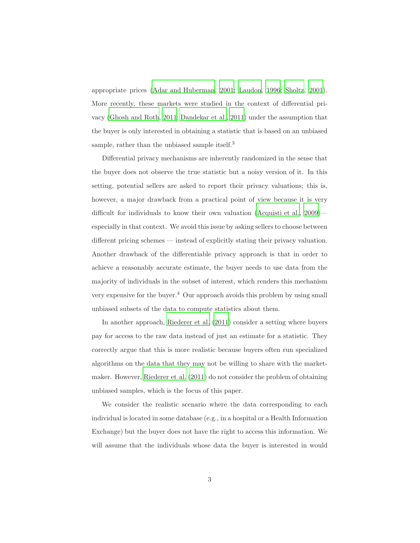appropriate prices [\(Adar and Huberman](#page-15-3), [2001;](#page-15-3) [Laudon](#page-16-3), [1996;](#page-16-3) [Sholtz](#page-16-4), [2001\)](#page-16-4). More recently, these markets were studied in the context of differential privacy [\(Ghosh and Roth](#page-15-4), [2011;](#page-15-4) [Dandekar et al.](#page-15-5), [2011\)](#page-15-5) under the assumption that the buyer is only interested in obtaining a statistic that is based on an unbiased sample, rather than the unbiased sample itself.<sup>3</sup>

Differential privacy mechanisms are inherently randomized in the sense that the buyer does not observe the true statistic but a noisy version of it. In this setting, potential sellers are asked to report their privacy valuations; this is, however, a major drawback from a practical point of view because it is very difficult for individuals to know their own valuation [\(Acquisti et al., 2009\)](#page-15-6) especially in that context. We avoid this issue by asking sellers to choose between different pricing schemes — instead of explicitly stating their privacy valuation. Another drawback of the differentiable privacy approach is that in order to achieve a reasonably accurate estimate, the buyer needs to use data from the majority of individuals in the subset of interest, which renders this mechanism very expensive for the buyer.<sup>4</sup> Our approach avoids this problem by using small unbiased subsets of the data to compute statistics about them.

In another approach, [Riederer et al. \(2011\)](#page-16-5) consider a setting where buyers pay for access to the raw data instead of just an estimate for a statistic. They correctly argue that this is more realistic because buyers often run specialized algorithms on the data that they may not be willing to share with the marketmaker. However, [Riederer et al. \(2011\)](#page-16-5) do not consider the problem of obtaining unbiased samples, which is the focus of this paper.

We consider the realistic scenario where the data corresponding to each individual is located in some database (e.g., in a hospital or a Health Information Exchange) but the buyer does not have the right to access this information. We will assume that the individuals whose data the buyer is interested in would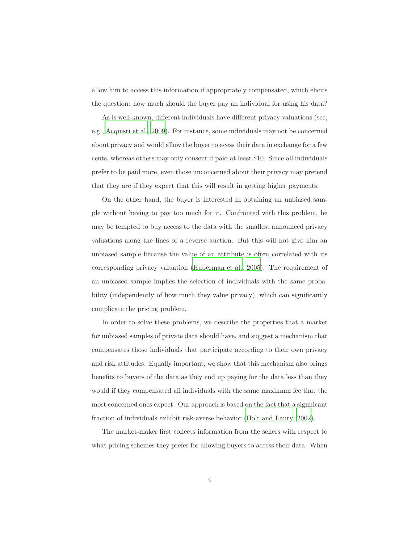allow him to access this information if appropriately compensated, which elicits the question: how much should the buyer pay an individual for using his data?

As is well-known, different individuals have different privacy valuations (see, e.g., [Acquisti et al., 2009\)](#page-15-6). For instance, some individuals may not be concerned about privacy and would allow the buyer to acess their data in exchange for a few cents, whereas others may only consent if paid at least \$10. Since all individuals prefer to be paid more, even those unconcerned about their privacy may pretend that they are if they expect that this will result in getting higher payments.

On the other hand, the buyer is interested in obtaining an unbiased sample without having to pay too much for it. Confronted with this problem, he may be tempted to buy access to the data with the smallest announced privacy valuations along the lines of a reverse auction. But this will not give him an unbiased sample because the value of an attribute is often correlated with its corresponding privacy valuation [\(Huberman et al.](#page-15-7), [2005\)](#page-15-7). The requirement of an unbiased sample implies the selection of individuals with the same probability (independently of how much they value privacy), which can significantly complicate the pricing problem.

In order to solve these problems, we describe the properties that a market for unbiased samples of private data should have, and suggest a mechanism that compensates those individuals that participate according to their own privacy and risk attitudes. Equally important, we show that this mechanism also brings benefits to buyers of the data as they end up paying for the data less than they would if they compensated all individuals with the same maximum fee that the most concerned ones expect. Our approach is based on the fact that a significant fraction of individuals exhibit risk-averse behavior [\(Holt and Laury](#page-15-8), [2002](#page-15-8)).

The market-maker first collects information from the sellers with respect to what pricing schemes they prefer for allowing buyers to access their data. When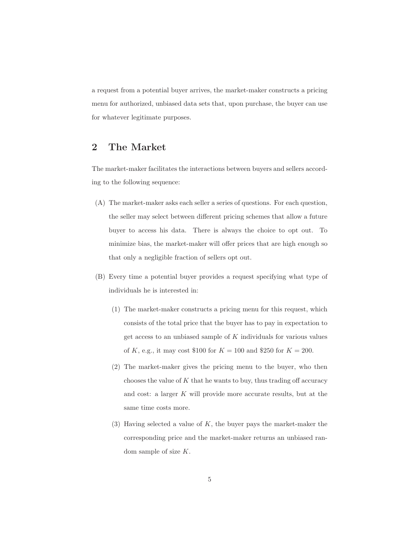a request from a potential buyer arrives, the market-maker constructs a pricing menu for authorized, unbiased data sets that, upon purchase, the buyer can use for whatever legitimate purposes.

### 2 The Market

The market-maker facilitates the interactions between buyers and sellers according to the following sequence:

- (A) The market-maker asks each seller a series of questions. For each question, the seller may select between different pricing schemes that allow a future buyer to access his data. There is always the choice to opt out. To minimize bias, the market-maker will offer prices that are high enough so that only a negligible fraction of sellers opt out.
- (B) Every time a potential buyer provides a request specifying what type of individuals he is interested in:
	- (1) The market-maker constructs a pricing menu for this request, which consists of the total price that the buyer has to pay in expectation to get access to an unbiased sample of K individuals for various values of K, e.g., it may cost \$100 for  $K = 100$  and \$250 for  $K = 200$ .
	- (2) The market-maker gives the pricing menu to the buyer, who then chooses the value of  $K$  that he wants to buy, thus trading off accuracy and cost: a larger K will provide more accurate results, but at the same time costs more.
	- (3) Having selected a value of  $K$ , the buyer pays the market-maker the corresponding price and the market-maker returns an unbiased random sample of size K.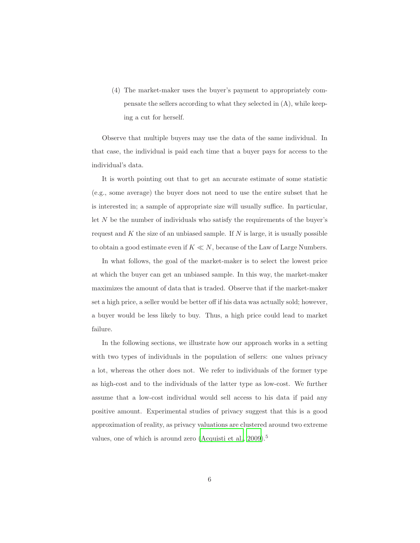(4) The market-maker uses the buyer's payment to appropriately compensate the sellers according to what they selected in (A), while keeping a cut for herself.

Observe that multiple buyers may use the data of the same individual. In that case, the individual is paid each time that a buyer pays for access to the individual's data.

It is worth pointing out that to get an accurate estimate of some statistic (e.g., some average) the buyer does not need to use the entire subset that he is interested in; a sample of appropriate size will usually suffice. In particular, let  $N$  be the number of individuals who satisfy the requirements of the buyer's request and  $K$  the size of an unbiased sample. If  $N$  is large, it is usually possible to obtain a good estimate even if  $K \ll N$ , because of the Law of Large Numbers.

In what follows, the goal of the market-maker is to select the lowest price at which the buyer can get an unbiased sample. In this way, the market-maker maximizes the amount of data that is traded. Observe that if the market-maker set a high price, a seller would be better off if his data was actually sold; however, a buyer would be less likely to buy. Thus, a high price could lead to market failure.

In the following sections, we illustrate how our approach works in a setting with two types of individuals in the population of sellers: one values privacy a lot, whereas the other does not. We refer to individuals of the former type as high-cost and to the individuals of the latter type as low-cost. We further assume that a low-cost individual would sell access to his data if paid any positive amount. Experimental studies of privacy suggest that this is a good approximation of reality, as privacy valuations are clustered around two extreme values, one of which is around zero [\(Acquisti et al., 2009\)](#page-15-6).<sup>5</sup>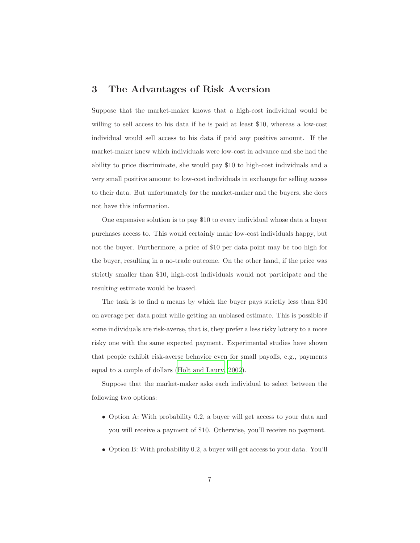### 3 The Advantages of Risk Aversion

Suppose that the market-maker knows that a high-cost individual would be willing to sell access to his data if he is paid at least \$10, whereas a low-cost individual would sell access to his data if paid any positive amount. If the market-maker knew which individuals were low-cost in advance and she had the ability to price discriminate, she would pay \$10 to high-cost individuals and a very small positive amount to low-cost individuals in exchange for selling access to their data. But unfortunately for the market-maker and the buyers, she does not have this information.

One expensive solution is to pay \$10 to every individual whose data a buyer purchases access to. This would certainly make low-cost individuals happy, but not the buyer. Furthermore, a price of \$10 per data point may be too high for the buyer, resulting in a no-trade outcome. On the other hand, if the price was strictly smaller than \$10, high-cost individuals would not participate and the resulting estimate would be biased.

The task is to find a means by which the buyer pays strictly less than \$10 on average per data point while getting an unbiased estimate. This is possible if some individuals are risk-averse, that is, they prefer a less risky lottery to a more risky one with the same expected payment. Experimental studies have shown that people exhibit risk-averse behavior even for small payoffs, e.g., payments equal to a couple of dollars [\(Holt and Laury, 2002\)](#page-15-8).

Suppose that the market-maker asks each individual to select between the following two options:

- Option A: With probability 0.2, a buyer will get access to your data and you will receive a payment of \$10. Otherwise, you'll receive no payment.
- Option B: With probability 0.2, a buyer will get access to your data. You'll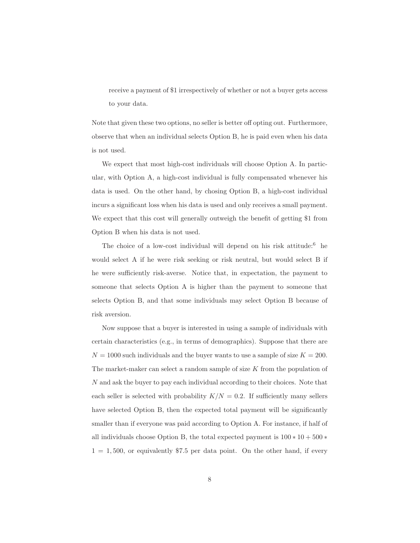receive a payment of \$1 irrespectively of whether or not a buyer gets access to your data.

Note that given these two options, no seller is better off opting out. Furthermore, observe that when an individual selects Option B, he is paid even when his data is not used.

We expect that most high-cost individuals will choose Option A. In particular, with Option A, a high-cost individual is fully compensated whenever his data is used. On the other hand, by chosing Option B, a high-cost individual incurs a significant loss when his data is used and only receives a small payment. We expect that this cost will generally outweigh the benefit of getting \$1 from Option B when his data is not used.

The choice of a low-cost individual will depend on his risk attitude: $6$  he would select A if he were risk seeking or risk neutral, but would select B if he were sufficiently risk-averse. Notice that, in expectation, the payment to someone that selects Option A is higher than the payment to someone that selects Option B, and that some individuals may select Option B because of risk aversion.

Now suppose that a buyer is interested in using a sample of individuals with certain characteristics (e.g., in terms of demographics). Suppose that there are  $N = 1000$  such individuals and the buyer wants to use a sample of size  $K = 200$ . The market-maker can select a random sample of size  $K$  from the population of N and ask the buyer to pay each individual according to their choices. Note that each seller is selected with probability  $K/N = 0.2$ . If sufficiently many sellers have selected Option B, then the expected total payment will be significantly smaller than if everyone was paid according to Option A. For instance, if half of all individuals choose Option B, the total expected payment is  $100 * 10 + 500 *$  $1 = 1,500$ , or equivalently \$7.5 per data point. On the other hand, if every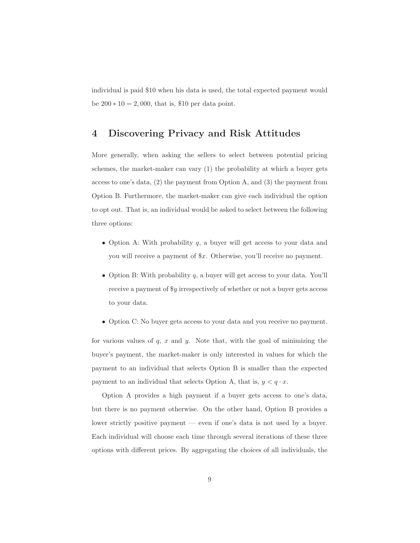<span id="page-8-0"></span>individual is paid \$10 when his data is used, the total expected payment would be  $200 * 10 = 2,000$ , that is, \$10 per data point.

### 4 Discovering Privacy and Risk Attitudes

More generally, when asking the sellers to select between potential pricing schemes, the market-maker can vary (1) the probability at which a buyer gets access to one's data,  $(2)$  the payment from Option A, and  $(3)$  the payment from Option B. Furthermore, the market-maker can give each individual the option to opt out. That is, an individual would be asked to select between the following three options:

- Option A: With probability  $q$ , a buyer will get access to your data and you will receive a payment of \$x. Otherwise, you'll receive no payment.
- $\bullet\,$  Option B: With probability  $q,$  a buyer will get access to your data. You'll receive a payment of \$y irrespectively of whether or not a buyer gets access to your data.
- Option C: No buyer gets access to your data and you receive no payment.

for various values of  $q$ ,  $x$  and  $y$ . Note that, with the goal of minimizing the buyer's payment, the market-maker is only interested in values for which the payment to an individual that selects Option B is smaller than the expected payment to an individual that selects Option A, that is,  $y < q \cdot x$ .

Option A provides a high payment if a buyer gets access to one's data, but there is no payment otherwise. On the other hand, Option B provides a lower strictly positive payment — even if one's data is not used by a buyer. Each individual will choose each time through several iterations of these three options with different prices. By aggregating the choices of all individuals, the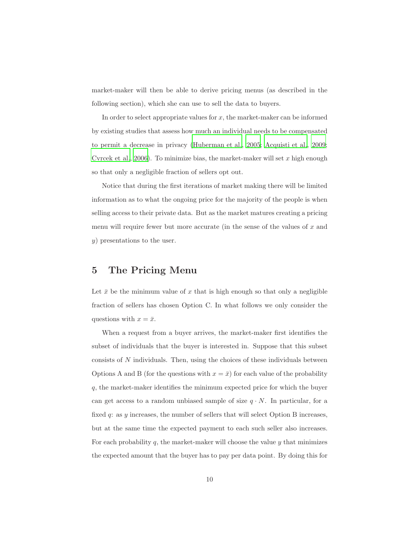market-maker will then be able to derive pricing menus (as described in the following section), which she can use to sell the data to buyers.

In order to select appropriate values for  $x$ , the market-maker can be informed by existing studies that assess how much an individual needs to be compensated to permit a decrease in privacy [\(Huberman et al., 2005;](#page-15-7) [Acquisti et al., 2009;](#page-15-6) [Cvrcek et al., 2006](#page-15-9)). To minimize bias, the market-maker will set  $x$  high enough so that only a negligible fraction of sellers opt out.

Notice that during the first iterations of market making there will be limited information as to what the ongoing price for the majority of the people is when selling access to their private data. But as the market matures creating a pricing menu will require fewer but more accurate (in the sense of the values of  $x$  and y) presentations to the user.

### 5 The Pricing Menu

Let  $\bar{x}$  be the minimum value of x that is high enough so that only a negligible fraction of sellers has chosen Option C. In what follows we only consider the questions with  $x = \bar{x}$ .

When a request from a buyer arrives, the market-maker first identifies the subset of individuals that the buyer is interested in. Suppose that this subset consists of N individuals. Then, using the choices of these individuals between Options A and B (for the questions with  $x = \bar{x}$ ) for each value of the probability q, the market-maker identifies the minimum expected price for which the buyer can get access to a random unbiased sample of size  $q \cdot N$ . In particular, for a fixed  $q$ : as  $y$  increases, the number of sellers that will select Option B increases, but at the same time the expected payment to each such seller also increases. For each probability  $q$ , the market-maker will choose the value  $y$  that minimizes the expected amount that the buyer has to pay per data point. By doing this for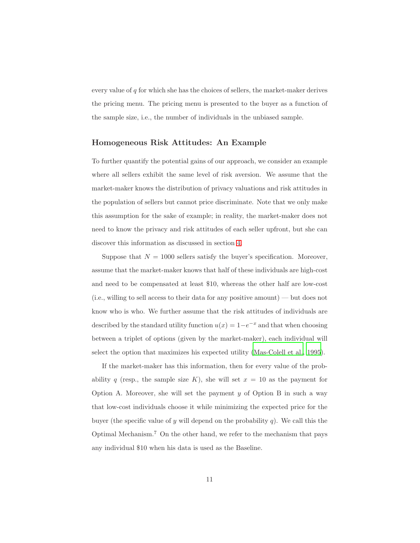every value of  $q$  for which she has the choices of sellers, the market-maker derives the pricing menu. The pricing menu is presented to the buyer as a function of the sample size, i.e., the number of individuals in the unbiased sample.

### Homogeneous Risk Attitudes: An Example

To further quantify the potential gains of our approach, we consider an example where all sellers exhibit the same level of risk aversion. We assume that the market-maker knows the distribution of privacy valuations and risk attitudes in the population of sellers but cannot price discriminate. Note that we only make this assumption for the sake of example; in reality, the market-maker does not need to know the privacy and risk attitudes of each seller upfront, but she can discover this information as discussed in section [4.](#page-8-0)

Suppose that  $N = 1000$  sellers satisfy the buyer's specification. Moreover, assume that the market-maker knows that half of these individuals are high-cost and need to be compensated at least \$10, whereas the other half are low-cost (i.e., willing to sell access to their data for any positive amount) — but does not know who is who. We further assume that the risk attitudes of individuals are described by the standard utility function  $u(x) = 1 - e^{-x}$  and that when choosing between a triplet of options (given by the market-maker), each individual will select the option that maximizes his expected utility [\(Mas-Colell et al.,](#page-16-6) [1995\)](#page-16-6).

If the market-maker has this information, then for every value of the probability q (resp., the sample size K), she will set  $x = 10$  as the payment for Option A. Moreover, she will set the payment  $y$  of Option B in such a way that low-cost individuals choose it while minimizing the expected price for the buyer (the specific value of y will depend on the probability q). We call this the Optimal Mechanism.<sup>7</sup> On the other hand, we refer to the mechanism that pays any individual \$10 when his data is used as the Baseline.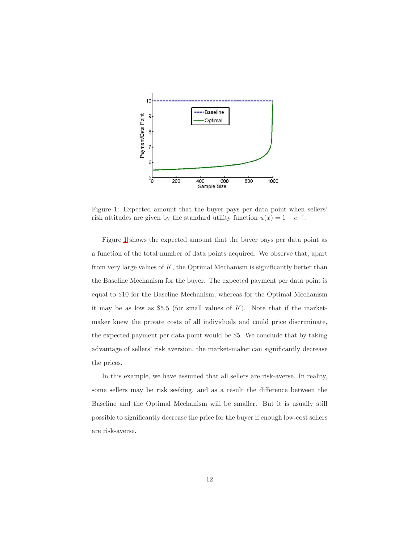

<span id="page-11-0"></span>Figure 1: Expected amount that the buyer pays per data point when sellers' risk attitudes are given by the standard utility function  $u(x) = 1 - e^{-x}$ .

Figure [1](#page-11-0) shows the expected amount that the buyer pays per data point as a function of the total number of data points acquired. We observe that, apart from very large values of  $K$ , the Optimal Mechanism is significantly better than the Baseline Mechanism for the buyer. The expected payment per data point is equal to \$10 for the Baseline Mechanism, whereas for the Optimal Mechanism it may be as low as \$5.5 (for small values of  $K$ ). Note that if the marketmaker knew the private costs of all individuals and could price discriminate, the expected payment per data point would be \$5. We conclude that by taking advantage of sellers' risk aversion, the market-maker can significantly decrease the prices.

In this example, we have assumed that all sellers are risk-averse. In reality, some sellers may be risk seeking, and as a result the difference between the Baseline and the Optimal Mechanism will be smaller. But it is usually still possible to significantly decrease the price for the buyer if enough low-cost sellers are risk-averse.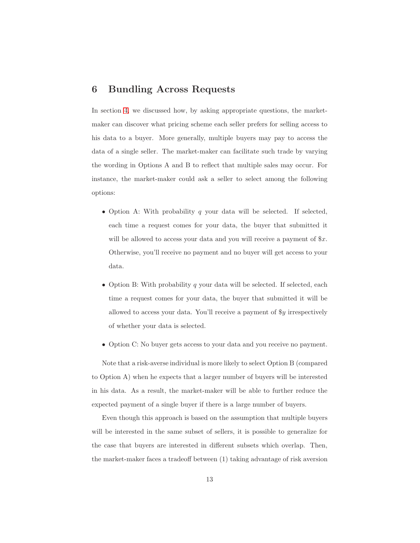### 6 Bundling Across Requests

In section [4,](#page-8-0) we discussed how, by asking appropriate questions, the marketmaker can discover what pricing scheme each seller prefers for selling access to his data to a buyer. More generally, multiple buyers may pay to access the data of a single seller. The market-maker can facilitate such trade by varying the wording in Options A and B to reflect that multiple sales may occur. For instance, the market-maker could ask a seller to select among the following options:

- Option A: With probability  $q$  your data will be selected. If selected, each time a request comes for your data, the buyer that submitted it will be allowed to access your data and you will receive a payment of  $x$ . Otherwise, you'll receive no payment and no buyer will get access to your data.
- Option B: With probability  $q$  your data will be selected. If selected, each time a request comes for your data, the buyer that submitted it will be allowed to access your data. You'll receive a payment of \$y irrespectively of whether your data is selected.
- Option C: No buyer gets access to your data and you receive no payment.

Note that a risk-averse individual is more likely to select Option B (compared to Option A) when he expects that a larger number of buyers will be interested in his data. As a result, the market-maker will be able to further reduce the expected payment of a single buyer if there is a large number of buyers.

Even though this approach is based on the assumption that multiple buyers will be interested in the same subset of sellers, it is possible to generalize for the case that buyers are interested in different subsets which overlap. Then, the market-maker faces a tradeoff between (1) taking advantage of risk aversion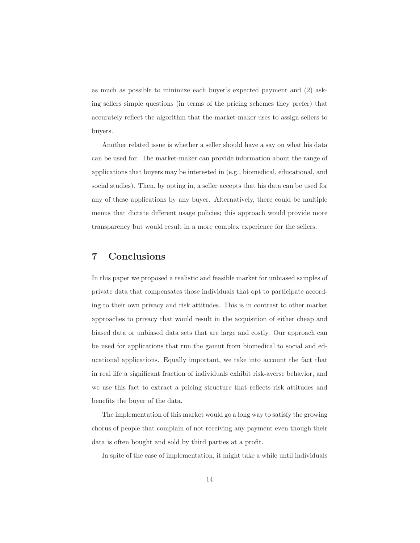as much as possible to minimize each buyer's expected payment and (2) asking sellers simple questions (in terms of the pricing schemes they prefer) that accurately reflect the algorithm that the market-maker uses to assign sellers to buyers.

Another related issue is whether a seller should have a say on what his data can be used for. The market-maker can provide information about the range of applications that buyers may be interested in (e.g., biomedical, educational, and social studies). Then, by opting in, a seller accepts that his data can be used for any of these applications by any buyer. Alternatively, there could be multiple menus that dictate different usage policies; this approach would provide more transparency but would result in a more complex experience for the sellers.

### 7 Conclusions

In this paper we proposed a realistic and feasible market for unbiased samples of private data that compensates those individuals that opt to participate according to their own privacy and risk attitudes. This is in contrast to other market approaches to privacy that would result in the acquisition of either cheap and biased data or unbiased data sets that are large and costly. Our approach can be used for applications that run the gamut from biomedical to social and educational applications. Equally important, we take into account the fact that in real life a significant fraction of individuals exhibit risk-averse behavior, and we use this fact to extract a pricing structure that reflects risk attitudes and benefits the buyer of the data.

The implementation of this market would go a long way to satisfy the growing chorus of people that complain of not receiving any payment even though their data is often bought and sold by third parties at a profit.

In spite of the ease of implementation, it might take a while until individuals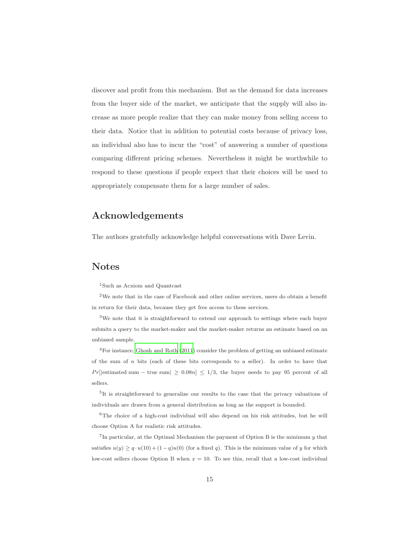discover and profit from this mechanism. But as the demand for data increases from the buyer side of the market, we anticipate that the supply will also increase as more people realize that they can make money from selling access to their data. Notice that in addition to potential costs because of privacy loss, an individual also has to incur the "cost" of answering a number of questions comparing different pricing schemes. Nevertheless it might be worthwhile to respond to these questions if people expect that their choices will be used to appropriately compensate them for a large number of sales.

### Acknowledgements

The authors gratefully acknowledge helpful conversations with Dave Levin.

### Notes

<sup>1</sup>Such as Acxiom and Quantcast

<sup>2</sup>We note that in the case of Facebook and other online services, users do obtain a benefit in return for their data, because they get free access to these services.

<sup>3</sup>We note that it is straightforward to extend our approach to settings where each buyer submits a query to the market-maker and the market-maker returns an estimate based on an unbiased sample.

<sup>4</sup>For instance, [Ghosh and Roth \(2011](#page-15-4)) consider the problem of getting an unbiased estimate of the sum of  $n$  bits (each of these bits corresponds to a seller). In order to have that Pr[|estimated sum – true sum|  $\geq 0.08n$ ]  $\leq 1/3$ , the buyer needs to pay 95 percent of all sellers.

<sup>5</sup>It is straightforward to generalize our results to the case that the privacy valuations of individuals are drawn from a general distribution as long as the support is bounded.

 $6$ The choice of a high-cost individual will also depend on his risk attitudes, but he will choose Option A for realistic risk attitudes.

<sup>7</sup>In particular, at the Optimal Mechanism the payment of Option B is the minimum  $y$  that satisfies  $u(y) \geq q \cdot u(10) + (1-q)u(0)$  (for a fixed q). This is the minimum value of y for which low-cost sellers choose Option B when  $x = 10$ . To see this, recall that a low-cost individual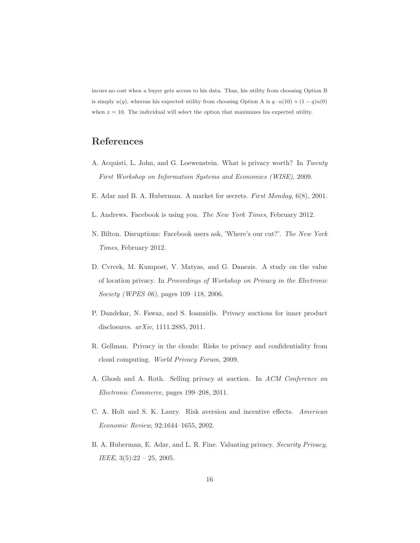incurs no cost when a buyer gets access to his data. Thus, his utility from choosing Option B is simply  $u(y)$ , whereas his expected utility from choosing Option A is  $q \cdot u(10) + (1 - q)u(0)$ when  $x = 10$ . The individual will select the option that maximizes his expected utility.

## References

- <span id="page-15-6"></span>A. Acquisti, L. John, and G. Loewenstein. What is privacy worth? In Twenty First Workshop on Information Systems and Economics (WISE), 2009.
- <span id="page-15-3"></span>E. Adar and B. A. Huberman. A market for secrets. First Monday, 6(8), 2001.
- <span id="page-15-1"></span>L. Andrews. Facebook is using you. The New York Times, February 2012.
- <span id="page-15-0"></span>N. Bilton. Disruptions: Facebook users ask, 'Where's our cut?'. The New York Times, February 2012.
- <span id="page-15-9"></span>D. Cvrcek, M. Kumpost, V. Matyas, and G. Danezis. A study on the value of location privacy. In Proceedings of Workshop on Privacy in the Electronic Society (WPES 06), pages 109–118, 2006.
- <span id="page-15-5"></span>P. Dandekar, N. Fawaz, and S. Ioannidis. Privacy auctions for inner product disclosures. arXiv, 1111.2885, 2011.
- <span id="page-15-2"></span>R. Gellman. Privacy in the clouds: Risks to privacy and confidentiality from cloud computing. World Privacy Forum, 2009.
- <span id="page-15-4"></span>A. Ghosh and A. Roth. Selling privacy at auction. In ACM Conference on Electronic Commerce, pages 199–208, 2011.
- <span id="page-15-8"></span>C. A. Holt and S. K. Laury. Risk aversion and incentive effects. American Economic Review, 92:1644–1655, 2002.
- <span id="page-15-7"></span>B. A. Huberman, E. Adar, and L. R. Fine. Valuating privacy. Security Privacy, IEEE,  $3(5):22 - 25$ , 2005.